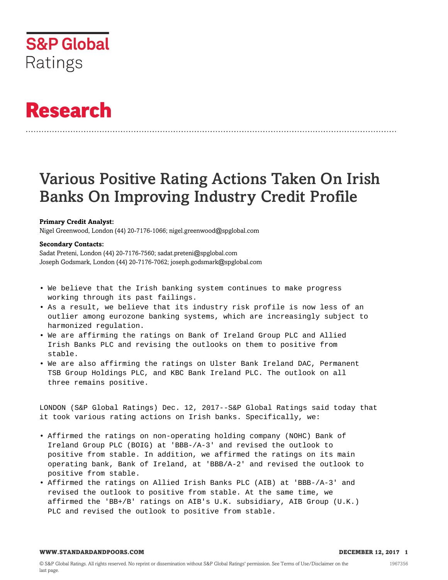

# **Research**

## Various Positive Rating Actions Taken On Irish Banks On Improving Industry Credit Profile

#### **Primary Credit Analyst:**

Nigel Greenwood, London (44) 20-7176-1066; nigel.greenwood@spglobal.com

#### **Secondary Contacts:**

Sadat Preteni, London (44) 20-7176-7560; sadat.preteni@spglobal.com Joseph Godsmark, London (44) 20-7176-7062; joseph.godsmark@spglobal.com

- We believe that the Irish banking system continues to make progress working through its past failings.
- As a result, we believe that its industry risk profile is now less of an outlier among eurozone banking systems, which are increasingly subject to harmonized regulation.
- We are affirming the ratings on Bank of Ireland Group PLC and Allied Irish Banks PLC and revising the outlooks on them to positive from stable.
- We are also affirming the ratings on Ulster Bank Ireland DAC, Permanent TSB Group Holdings PLC, and KBC Bank Ireland PLC. The outlook on all three remains positive.

LONDON (S&P Global Ratings) Dec. 12, 2017--S&P Global Ratings said today that it took various rating actions on Irish banks. Specifically, we:

- Affirmed the ratings on non-operating holding company (NOHC) Bank of Ireland Group PLC (BOIG) at 'BBB-/A-3' and revised the outlook to positive from stable. In addition, we affirmed the ratings on its main operating bank, Bank of Ireland, at 'BBB/A-2' and revised the outlook to positive from stable.
- Affirmed the ratings on Allied Irish Banks PLC (AIB) at 'BBB-/A-3' and revised the outlook to positive from stable. At the same time, we affirmed the 'BB+/B' ratings on AIB's U.K. subsidiary, AIB Group (U.K.) PLC and revised the outlook to positive from stable.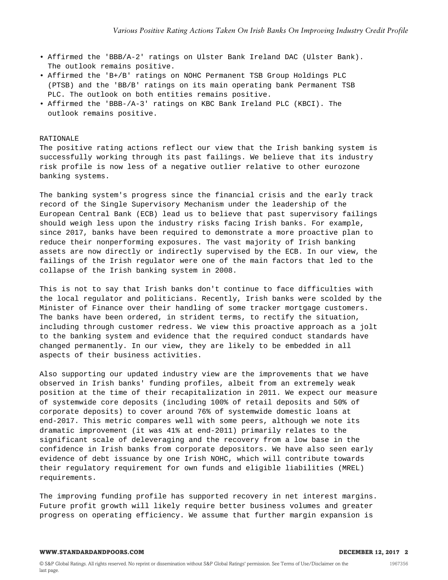- Affirmed the 'BBB/A-2' ratings on Ulster Bank Ireland DAC (Ulster Bank). The outlook remains positive.
- Affirmed the 'B+/B' ratings on NOHC Permanent TSB Group Holdings PLC (PTSB) and the 'BB/B' ratings on its main operating bank Permanent TSB PLC. The outlook on both entities remains positive.
- Affirmed the 'BBB-/A-3' ratings on KBC Bank Ireland PLC (KBCI). The outlook remains positive.

#### RATIONALE

The positive rating actions reflect our view that the Irish banking system is successfully working through its past failings. We believe that its industry risk profile is now less of a negative outlier relative to other eurozone banking systems.

The banking system's progress since the financial crisis and the early track record of the Single Supervisory Mechanism under the leadership of the European Central Bank (ECB) lead us to believe that past supervisory failings should weigh less upon the industry risks facing Irish banks. For example, since 2017, banks have been required to demonstrate a more proactive plan to reduce their nonperforming exposures. The vast majority of Irish banking assets are now directly or indirectly supervised by the ECB. In our view, the failings of the Irish regulator were one of the main factors that led to the collapse of the Irish banking system in 2008.

This is not to say that Irish banks don't continue to face difficulties with the local regulator and politicians. Recently, Irish banks were scolded by the Minister of Finance over their handling of some tracker mortgage customers. The banks have been ordered, in strident terms, to rectify the situation, including through customer redress. We view this proactive approach as a jolt to the banking system and evidence that the required conduct standards have changed permanently. In our view, they are likely to be embedded in all aspects of their business activities.

Also supporting our updated industry view are the improvements that we have observed in Irish banks' funding profiles, albeit from an extremely weak position at the time of their recapitalization in 2011. We expect our measure of systemwide core deposits (including 100% of retail deposits and 50% of corporate deposits) to cover around 76% of systemwide domestic loans at end-2017. This metric compares well with some peers, although we note its dramatic improvement (it was 41% at end-2011) primarily relates to the significant scale of deleveraging and the recovery from a low base in the confidence in Irish banks from corporate depositors. We have also seen early evidence of debt issuance by one Irish NOHC, which will contribute towards their regulatory requirement for own funds and eligible liabilities (MREL) requirements.

The improving funding profile has supported recovery in net interest margins. Future profit growth will likely require better business volumes and greater progress on operating efficiency. We assume that further margin expansion is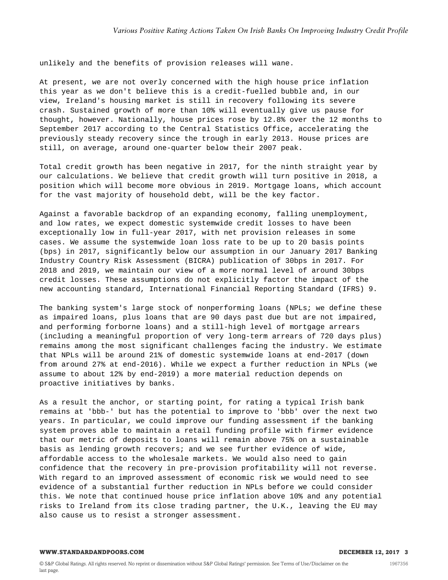unlikely and the benefits of provision releases will wane.

At present, we are not overly concerned with the high house price inflation this year as we don't believe this is a credit-fuelled bubble and, in our view, Ireland's housing market is still in recovery following its severe crash. Sustained growth of more than 10% will eventually give us pause for thought, however. Nationally, house prices rose by 12.8% over the 12 months to September 2017 according to the Central Statistics Office, accelerating the previously steady recovery since the trough in early 2013. House prices are still, on average, around one-quarter below their 2007 peak.

Total credit growth has been negative in 2017, for the ninth straight year by our calculations. We believe that credit growth will turn positive in 2018, a position which will become more obvious in 2019. Mortgage loans, which account for the vast majority of household debt, will be the key factor.

Against a favorable backdrop of an expanding economy, falling unemployment, and low rates, we expect domestic systemwide credit losses to have been exceptionally low in full-year 2017, with net provision releases in some cases. We assume the systemwide loan loss rate to be up to 20 basis points (bps) in 2017, significantly below our assumption in our January 2017 Banking Industry Country Risk Assessment (BICRA) publication of 30bps in 2017. For 2018 and 2019, we maintain our view of a more normal level of around 30bps credit losses. These assumptions do not explicitly factor the impact of the new accounting standard, International Financial Reporting Standard (IFRS) 9.

The banking system's large stock of nonperforming loans (NPLs; we define these as impaired loans, plus loans that are 90 days past due but are not impaired, and performing forborne loans) and a still-high level of mortgage arrears (including a meaningful proportion of very long-term arrears of 720 days plus) remains among the most significant challenges facing the industry. We estimate that NPLs will be around 21% of domestic systemwide loans at end-2017 (down from around 27% at end-2016). While we expect a further reduction in NPLs (we assume to about 12% by end-2019) a more material reduction depends on proactive initiatives by banks.

As a result the anchor, or starting point, for rating a typical Irish bank remains at 'bbb-' but has the potential to improve to 'bbb' over the next two years. In particular, we could improve our funding assessment if the banking system proves able to maintain a retail funding profile with firmer evidence that our metric of deposits to loans will remain above 75% on a sustainable basis as lending growth recovers; and we see further evidence of wide, affordable access to the wholesale markets. We would also need to gain confidence that the recovery in pre-provision profitability will not reverse. With regard to an improved assessment of economic risk we would need to see evidence of a substantial further reduction in NPLs before we could consider this. We note that continued house price inflation above 10% and any potential risks to Ireland from its close trading partner, the U.K., leaving the EU may also cause us to resist a stronger assessment.

#### **WWW.STANDARDANDPOORS.COM DECEMBER 12, 2017 3**

1967356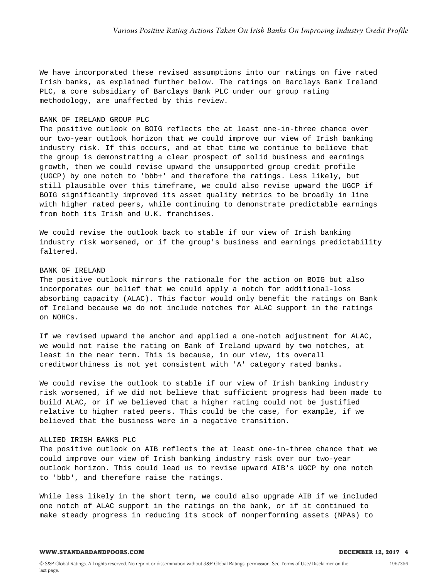We have incorporated these revised assumptions into our ratings on five rated Irish banks, as explained further below. The ratings on Barclays Bank Ireland PLC, a core subsidiary of Barclays Bank PLC under our group rating methodology, are unaffected by this review.

#### BANK OF IRELAND GROUP PLC

The positive outlook on BOIG reflects the at least one-in-three chance over our two-year outlook horizon that we could improve our view of Irish banking industry risk. If this occurs, and at that time we continue to believe that the group is demonstrating a clear prospect of solid business and earnings growth, then we could revise upward the unsupported group credit profile (UGCP) by one notch to 'bbb+' and therefore the ratings. Less likely, but still plausible over this timeframe, we could also revise upward the UGCP if BOIG significantly improved its asset quality metrics to be broadly in line with higher rated peers, while continuing to demonstrate predictable earnings from both its Irish and U.K. franchises.

We could revise the outlook back to stable if our view of Irish banking industry risk worsened, or if the group's business and earnings predictability faltered.

## BANK OF IRELAND

The positive outlook mirrors the rationale for the action on BOIG but also incorporates our belief that we could apply a notch for additional-loss absorbing capacity (ALAC). This factor would only benefit the ratings on Bank of Ireland because we do not include notches for ALAC support in the ratings on NOHCs.

If we revised upward the anchor and applied a one-notch adjustment for ALAC, we would not raise the rating on Bank of Ireland upward by two notches, at least in the near term. This is because, in our view, its overall creditworthiness is not yet consistent with 'A' category rated banks.

We could revise the outlook to stable if our view of Irish banking industry risk worsened, if we did not believe that sufficient progress had been made to build ALAC, or if we believed that a higher rating could not be justified relative to higher rated peers. This could be the case, for example, if we believed that the business were in a negative transition.

### ALLIED IRISH BANKS PLC

The positive outlook on AIB reflects the at least one-in-three chance that we could improve our view of Irish banking industry risk over our two-year outlook horizon. This could lead us to revise upward AIB's UGCP by one notch to 'bbb', and therefore raise the ratings.

While less likely in the short term, we could also upgrade AIB if we included one notch of ALAC support in the ratings on the bank, or if it continued to make steady progress in reducing its stock of nonperforming assets (NPAs) to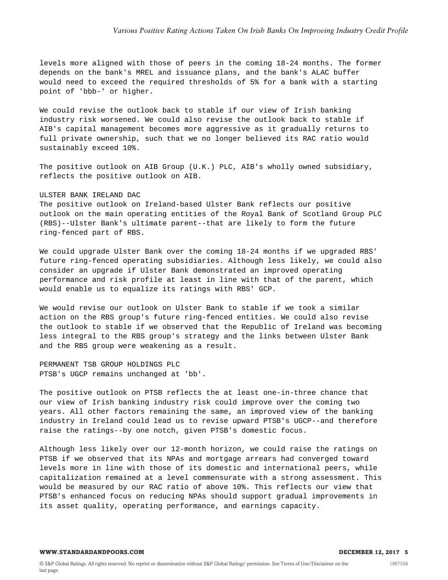levels more aligned with those of peers in the coming 18-24 months. The former depends on the bank's MREL and issuance plans, and the bank's ALAC buffer would need to exceed the required thresholds of 5% for a bank with a starting point of 'bbb-' or higher.

We could revise the outlook back to stable if our view of Irish banking industry risk worsened. We could also revise the outlook back to stable if AIB's capital management becomes more aggressive as it gradually returns to full private ownership, such that we no longer believed its RAC ratio would sustainably exceed 10%.

The positive outlook on AIB Group (U.K.) PLC, AIB's wholly owned subsidiary, reflects the positive outlook on AIB.

#### ULSTER BANK IRELAND DAC

The positive outlook on Ireland-based Ulster Bank reflects our positive outlook on the main operating entities of the Royal Bank of Scotland Group PLC (RBS)--Ulster Bank's ultimate parent--that are likely to form the future ring-fenced part of RBS.

We could upgrade Ulster Bank over the coming 18-24 months if we upgraded RBS' future ring-fenced operating subsidiaries. Although less likely, we could also consider an upgrade if Ulster Bank demonstrated an improved operating performance and risk profile at least in line with that of the parent, which would enable us to equalize its ratings with RBS' GCP.

We would revise our outlook on Ulster Bank to stable if we took a similar action on the RBS group's future ring-fenced entities. We could also revise the outlook to stable if we observed that the Republic of Ireland was becoming less integral to the RBS group's strategy and the links between Ulster Bank and the RBS group were weakening as a result.

PERMANENT TSB GROUP HOLDINGS PLC PTSB's UGCP remains unchanged at 'bb'.

The positive outlook on PTSB reflects the at least one-in-three chance that our view of Irish banking industry risk could improve over the coming two years. All other factors remaining the same, an improved view of the banking industry in Ireland could lead us to revise upward PTSB's UGCP--and therefore raise the ratings--by one notch, given PTSB's domestic focus.

Although less likely over our 12-month horizon, we could raise the ratings on PTSB if we observed that its NPAs and mortgage arrears had converged toward levels more in line with those of its domestic and international peers, while capitalization remained at a level commensurate with a strong assessment. This would be measured by our RAC ratio of above 10%. This reflects our view that PTSB's enhanced focus on reducing NPAs should support gradual improvements in its asset quality, operating performance, and earnings capacity.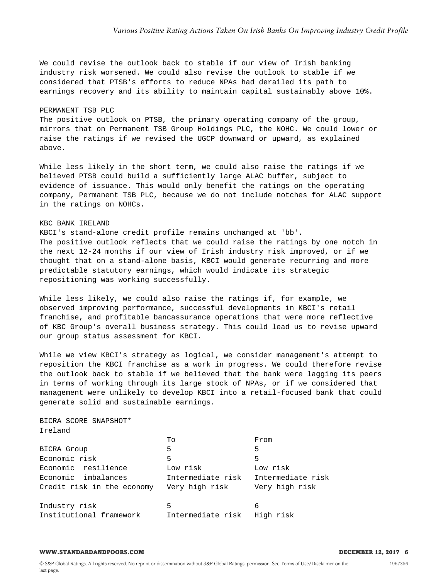We could revise the outlook back to stable if our view of Irish banking industry risk worsened. We could also revise the outlook to stable if we considered that PTSB's efforts to reduce NPAs had derailed its path to earnings recovery and its ability to maintain capital sustainably above 10%.

#### PERMANENT TSB PLC

The positive outlook on PTSB, the primary operating company of the group, mirrors that on Permanent TSB Group Holdings PLC, the NOHC. We could lower or raise the ratings if we revised the UGCP downward or upward, as explained above.

While less likely in the short term, we could also raise the ratings if we believed PTSB could build a sufficiently large ALAC buffer, subject to evidence of issuance. This would only benefit the ratings on the operating company, Permanent TSB PLC, because we do not include notches for ALAC support in the ratings on NOHCs.

#### KBC BANK IRELAND

KBCI's stand-alone credit profile remains unchanged at 'bb'. The positive outlook reflects that we could raise the ratings by one notch in the next 12-24 months if our view of Irish industry risk improved, or if we thought that on a stand-alone basis, KBCI would generate recurring and more predictable statutory earnings, which would indicate its strategic repositioning was working successfully.

While less likely, we could also raise the ratings if, for example, we observed improving performance, successful developments in KBCI's retail franchise, and profitable bancassurance operations that were more reflective of KBC Group's overall business strategy. This could lead us to revise upward our group status assessment for KBCI.

While we view KBCI's strategy as logical, we consider management's attempt to reposition the KBCI franchise as a work in progress. We could therefore revise the outlook back to stable if we believed that the bank were lagging its peers in terms of working through its large stock of NPAs, or if we considered that management were unlikely to develop KBCI into a retail-focused bank that could generate solid and sustainable earnings.

BICRA SCORE SNAPSHOT\* Ireland

|                            | To                | From              |
|----------------------------|-------------------|-------------------|
| BICRA Group                | 5                 | 5                 |
| Economic risk              | 5                 | 5                 |
| Economic resilience        | Low risk          | Low risk          |
| Economic imbalances        | Intermediate risk | Intermediate risk |
| Credit risk in the economy | Very high risk    | Very high risk    |
|                            |                   |                   |
| Industry risk              | 5                 | 6                 |
| Institutional framework    | Intermediate risk | High risk         |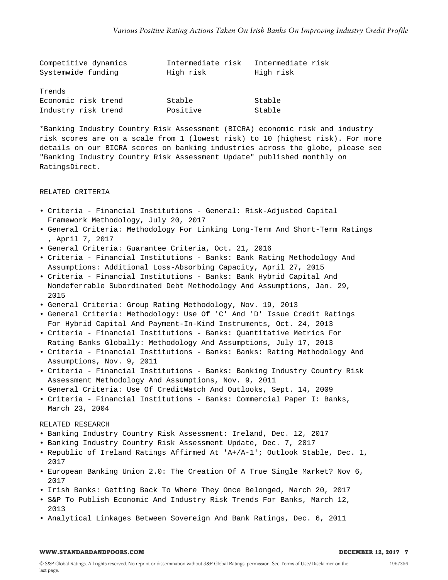| Competitive dynamics | Intermediate risk | Intermediate risk |
|----------------------|-------------------|-------------------|
| Systemwide funding   | High risk         | High risk         |
|                      |                   |                   |
| Trends               |                   |                   |
| Economic risk trend  | Stable            | Stable            |
| Industry risk trend  | Positive          | Stable            |

\*Banking Industry Country Risk Assessment (BICRA) economic risk and industry risk scores are on a scale from 1 (lowest risk) to 10 (highest risk). For more details on our BICRA scores on banking industries across the globe, please see "Banking Industry Country Risk Assessment Update" published monthly on RatingsDirect.

#### RELATED CRITERIA

- Criteria Financial Institutions General: Risk-Adjusted Capital Framework Methodology, July 20, 2017
- General Criteria: Methodology For Linking Long-Term And Short-Term Ratings , April 7, 2017
- General Criteria: Guarantee Criteria, Oct. 21, 2016
- Criteria Financial Institutions Banks: Bank Rating Methodology And Assumptions: Additional Loss-Absorbing Capacity, April 27, 2015
- Criteria Financial Institutions Banks: Bank Hybrid Capital And Nondeferrable Subordinated Debt Methodology And Assumptions, Jan. 29, 2015
- General Criteria: Group Rating Methodology, Nov. 19, 2013
- General Criteria: Methodology: Use Of 'C' And 'D' Issue Credit Ratings For Hybrid Capital And Payment-In-Kind Instruments, Oct. 24, 2013
- Criteria Financial Institutions Banks: Quantitative Metrics For Rating Banks Globally: Methodology And Assumptions, July 17, 2013
- Criteria Financial Institutions Banks: Banks: Rating Methodology And Assumptions, Nov. 9, 2011
- Criteria Financial Institutions Banks: Banking Industry Country Risk Assessment Methodology And Assumptions, Nov. 9, 2011
- General Criteria: Use Of CreditWatch And Outlooks, Sept. 14, 2009
- Criteria Financial Institutions Banks: Commercial Paper I: Banks, March 23, 2004

#### RELATED RESEARCH

- Banking Industry Country Risk Assessment: Ireland, Dec. 12, 2017
- Banking Industry Country Risk Assessment Update, Dec. 7, 2017
- Republic of Ireland Ratings Affirmed At 'A+/A-1'; Outlook Stable, Dec. 1, 2017
- European Banking Union 2.0: The Creation Of A True Single Market? Nov 6, 2017
- Irish Banks: Getting Back To Where They Once Belonged, March 20, 2017
- S&P To Publish Economic And Industry Risk Trends For Banks, March 12, 2013
- Analytical Linkages Between Sovereign And Bank Ratings, Dec. 6, 2011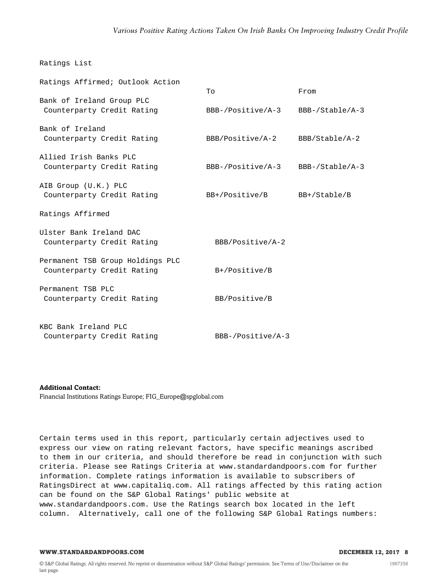#### Ratings List

| Ratings Affirmed; Outlook Action                               | Tо                | From            |
|----------------------------------------------------------------|-------------------|-----------------|
| Bank of Ireland Group PLC<br>Counterparty Credit Rating        | BBB-/Positive/A-3 | BBB-/Stable/A-3 |
| Bank of Ireland<br>Counterparty Credit Rating                  | BBB/Positive/A-2  | BBB/Stable/A-2  |
| Allied Irish Banks PLC<br>Counterparty Credit Rating           | BBB-/Positive/A-3 | BBB-/Stable/A-3 |
| AIB Group (U.K.) PLC<br>Counterparty Credit Rating             | BB+/Positive/B    | BB+/Stable/B    |
| Ratings Affirmed                                               |                   |                 |
| Ulster Bank Ireland DAC<br>Counterparty Credit Rating          | BBB/Positive/A-2  |                 |
| Permanent TSB Group Holdings PLC<br>Counterparty Credit Rating | $B+$ /Positive/B  |                 |
| Permanent TSB PLC<br>Counterparty Credit Rating                | BB/Positive/B     |                 |
| KBC Bank Ireland PLC<br>Counterparty Credit Rating             | BBB-/Positive/A-3 |                 |

**Additional Contact:**

Financial Institutions Ratings Europe; FIG\_Europe@spglobal.com

Certain terms used in this report, particularly certain adjectives used to express our view on rating relevant factors, have specific meanings ascribed to them in our criteria, and should therefore be read in conjunction with such criteria. Please see Ratings Criteria at www.standardandpoors.com for further information. Complete ratings information is available to subscribers of RatingsDirect at www.capitaliq.com. All ratings affected by this rating action can be found on the S&P Global Ratings' public website at www.standardandpoors.com. Use the Ratings search box located in the left column. Alternatively, call one of the following S&P Global Ratings numbers: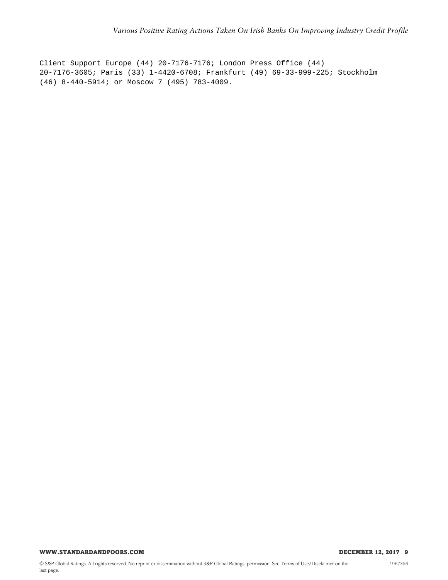Client Support Europe (44) 20-7176-7176; London Press Office (44) 20-7176-3605; Paris (33) 1-4420-6708; Frankfurt (49) 69-33-999-225; Stockholm (46) 8-440-5914; or Moscow 7 (495) 783-4009.